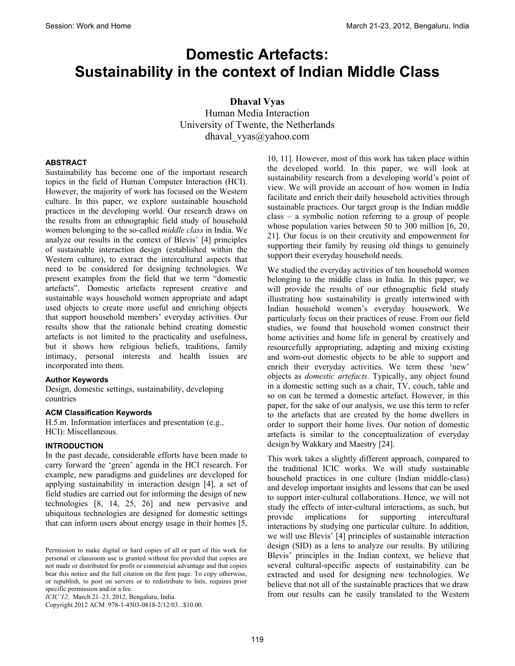# **Domestic Artefacts: Sustainability in the context of Indian Middle Class**

**Dhaval Vyas**  Human Media Interaction University of Twente, the Netherlands dhaval\_vyas@yahoo.com

#### **ABSTRACT**

Sustainability has become one of the important research topics in the field of Human Computer Interaction (HCI). However, the majority of work has focused on the Western culture. In this paper, we explore sustainable household practices in the developing world. Our research draws on the results from an ethnographic field study of household women belonging to the so-called *middle class* in India. We analyze our results in the context of Blevis' [4] principles of sustainable interaction design (established within the Western culture), to extract the intercultural aspects that need to be considered for designing technologies. We present examples from the field that we term "domestic artefacts". Domestic artefacts represent creative and sustainable ways household women appropriate and adapt used objects to create more useful and enriching objects that support household members' everyday activities. Our results show that the rationale behind creating domestic artefacts is not limited to the practicality and usefulness, but it shows how religious beliefs, traditions, family intimacy, personal interests and health issues are incorporated into them.

#### **Author Keywords**

Design, domestic settings, sustainability, developing countries

#### **ACM Classification Keywords**

H.5.m. Information interfaces and presentation (e.g., HCI): Miscellaneous.

#### **INTRODUCTION**

In the past decade, considerable efforts have been made to carry forward the 'green' agenda in the HCI research. For example, new paradigms and guidelines are developed for applying sustainability in interaction design [4], a set of field studies are carried out for informing the design of new technologies [8, 14, 25, 26] and new pervasive and ubiquitous technologies are designed for domestic settings that can inform users about energy usage in their homes [5,

Copyright 2012 ACM 978-1-4503-0818-2/12/03...\$10.00.

10, 11]. However, most of this work has taken place within the developed world. In this paper, we will look at sustainability research from a developing world's point of view. We will provide an account of how women in India facilitate and enrich their daily household activities through sustainable practices. Our target group is the Indian middle class – a symbolic notion referring to a group of people whose population varies between 50 to 300 million [6, 20, 21]. Our focus is on their creativity and empowerment for supporting their family by reusing old things to genuinely support their everyday household needs.

We studied the everyday activities of ten household women belonging to the middle class in India. In this paper, we will provide the results of our ethnographic field study illustrating how sustainability is greatly intertwined with Indian household women's everyday housework. We particularly focus on their practices of reuse. From our field studies, we found that household women construct their home activities and home life in general by creatively and resourcefully appropriating, adapting and mixing existing and worn-out domestic objects to be able to support and enrich their everyday activities. We term these 'new' objects as *domestic artefacts*. Typically, any object found in a domestic setting such as a chair, TV, couch, table and so on can be termed a domestic artefact. However, in this paper, for the sake of our analysis, we use this term to refer to the artefacts that are created by the home dwellers in order to support their home lives. Our notion of domestic artefacts is similar to the conceptualization of everyday design by Wakkary and Maestry [24].

This work takes a slightly different approach, compared to the traditional ICIC works. We will study sustainable household practices in one culture (Indian middle-class) and develop important insights and lessons that can be used to support inter-cultural collaborations. Hence, we will not study the effects of inter-cultural interactions, as such, but provide implications for supporting intercultural interactions by studying one particular culture. In addition, we will use Blevis' [4] principles of sustainable interaction design (SID) as a lens to analyze our results. By utilizing Blevis' principles in the Indian context, we believe that several cultural-specific aspects of sustainability can be extracted and used for designing new technologies. We believe that not all of the sustainable practices that we draw from our results can be easily translated to the Western

Permission to make digital or hard copies of all or part of this work for personal or classroom use is granted without fee provided that copies are not made or distributed for profit or commercial advantage and that copies bear this notice and the full citation on the first page. To copy otherwise, or republish, to post on servers or to redistribute to lists, requires prior specific permission and/or a fee.

*ICIC'12,* March 21–23, 2012, Bengaluru, India.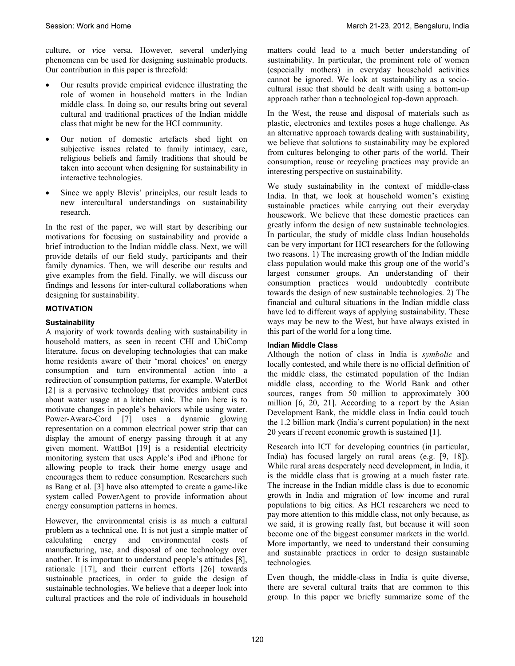culture, or *v*ice versa. However, several underlying phenomena can be used for designing sustainable products. Our contribution in this paper is threefold:

- Our results provide empirical evidence illustrating the role of women in household matters in the Indian middle class. In doing so, our results bring out several cultural and traditional practices of the Indian middle class that might be new for the HCI community.
- Our notion of domestic artefacts shed light on subjective issues related to family intimacy, care, religious beliefs and family traditions that should be taken into account when designing for sustainability in interactive technologies.
- Since we apply Blevis' principles, our result leads to new intercultural understandings on sustainability research.

In the rest of the paper, we will start by describing our motivations for focusing on sustainability and provide a brief introduction to the Indian middle class. Next, we will provide details of our field study, participants and their family dynamics. Then, we will describe our results and give examples from the field. Finally, we will discuss our findings and lessons for inter-cultural collaborations when designing for sustainability.

# **MOTIVATION**

# **Sustainability**

A majority of work towards dealing with sustainability in household matters, as seen in recent CHI and UbiComp literature, focus on developing technologies that can make home residents aware of their 'moral choices' on energy consumption and turn environmental action into a redirection of consumption patterns, for example. WaterBot [2] is a pervasive technology that provides ambient cues about water usage at a kitchen sink. The aim here is to motivate changes in people's behaviors while using water. Power-Aware-Cord [7] uses a dynamic glowing representation on a common electrical power strip that can display the amount of energy passing through it at any given moment. WattBot [19] is a residential electricity monitoring system that uses Apple's iPod and iPhone for allowing people to track their home energy usage and encourages them to reduce consumption. Researchers such as Bang et al. [3] have also attempted to create a game-like system called PowerAgent to provide information about energy consumption patterns in homes.

However, the environmental crisis is as much a cultural problem as a technical one. It is not just a simple matter of calculating energy and environmental costs of manufacturing, use, and disposal of one technology over another. It is important to understand people's attitudes [8], rationale [17], and their current efforts [26] towards sustainable practices, in order to guide the design of sustainable technologies. We believe that a deeper look into cultural practices and the role of individuals in household matters could lead to a much better understanding of sustainability. In particular, the prominent role of women (especially mothers) in everyday household activities cannot be ignored. We look at sustainability as a sociocultural issue that should be dealt with using a bottom-up approach rather than a technological top-down approach.

In the West, the reuse and disposal of materials such as plastic, electronics and textiles poses a huge challenge. As an alternative approach towards dealing with sustainability, we believe that solutions to sustainability may be explored from cultures belonging to other parts of the world. Their consumption, reuse or recycling practices may provide an interesting perspective on sustainability.

We study sustainability in the context of middle-class India. In that, we look at household women's existing sustainable practices while carrying out their everyday housework. We believe that these domestic practices can greatly inform the design of new sustainable technologies. In particular, the study of middle class Indian households can be very important for HCI researchers for the following two reasons. 1) The increasing growth of the Indian middle class population would make this group one of the world's largest consumer groups. An understanding of their consumption practices would undoubtedly contribute towards the design of new sustainable technologies. 2) The financial and cultural situations in the Indian middle class have led to different ways of applying sustainability. These ways may be new to the West, but have always existed in this part of the world for a long time.

# **Indian Middle Class**

Although the notion of class in India is *symbolic* and locally contested, and while there is no official definition of the middle class, the estimated population of the Indian middle class, according to the World Bank and other sources, ranges from 50 million to approximately 300 million [6, 20, 21]. According to a report by the Asian Development Bank, the middle class in India could touch the 1.2 billion mark (India's current population) in the next 20 years if recent economic growth is sustained [1].

Research into ICT for developing countries (in particular, India) has focused largely on rural areas (e.g. [9, 18]). While rural areas desperately need development, in India, it is the middle class that is growing at a much faster rate. The increase in the Indian middle class is due to economic growth in India and migration of low income and rural populations to big cities. As HCI researchers we need to pay more attention to this middle class, not only because, as we said, it is growing really fast, but because it will soon become one of the biggest consumer markets in the world. More importantly, we need to understand their consuming and sustainable practices in order to design sustainable technologies.

Even though, the middle-class in India is quite diverse, there are several cultural traits that are common to this group. In this paper we briefly summarize some of the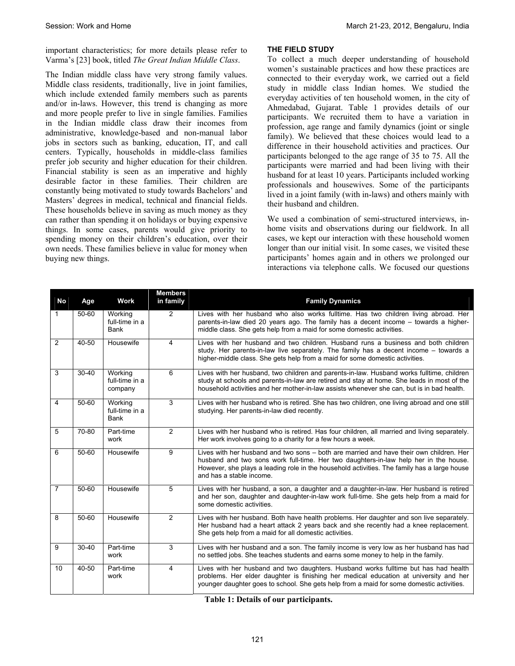### important characteristics; for more details please refer to Varma's [23] book, titled *The Great Indian Middle Class*.

The Indian middle class have very strong family values. Middle class residents, traditionally, live in joint families, which include extended family members such as parents and/or in-laws. However, this trend is changing as more and more people prefer to live in single families. Families in the Indian middle class draw their incomes from administrative, knowledge-based and non-manual labor jobs in sectors such as banking, education, IT, and call centers. Typically, households in middle-class families prefer job security and higher education for their children. Financial stability is seen as an imperative and highly desirable factor in these families. Their children are constantly being motivated to study towards Bachelors' and Masters' degrees in medical, technical and financial fields. These households believe in saving as much money as they can rather than spending it on holidays or buying expensive things. In some cases, parents would give priority to spending money on their children's education, over their own needs. These families believe in value for money when buying new things.

#### **THE FIELD STUDY**

To collect a much deeper understanding of household women's sustainable practices and how these practices are connected to their everyday work, we carried out a field study in middle class Indian homes. We studied the everyday activities of ten household women, in the city of Ahmedabad, Gujarat. Table 1 provides details of our participants. We recruited them to have a variation in profession, age range and family dynamics (joint or single family). We believed that these choices would lead to a difference in their household activities and practices. Our participants belonged to the age range of 35 to 75. All the participants were married and had been living with their husband for at least 10 years. Participants included working professionals and housewives. Some of the participants lived in a joint family (with in-laws) and others mainly with their husband and children.

We used a combination of semi-structured interviews, inhome visits and observations during our fieldwork. In all cases, we kept our interaction with these household women longer than our initial visit. In some cases, we visited these participants' homes again and in others we prolonged our interactions via telephone calls. We focused our questions

| No             | Age       | <b>Work</b>                          | <b>Members</b><br>in family | <b>Family Dynamics</b>                                                                                                                                                                                                                                                                                     |  |  |
|----------------|-----------|--------------------------------------|-----------------------------|------------------------------------------------------------------------------------------------------------------------------------------------------------------------------------------------------------------------------------------------------------------------------------------------------------|--|--|
| $\mathbf{1}$   | 50-60     | Working<br>full-time in a<br>Bank    | $\overline{2}$              | Lives with her husband who also works fulltime. Has two children living abroad. Her<br>parents-in-law died 20 years ago. The family has a decent income - towards a higher-<br>middle class. She gets help from a maid for some domestic activities.                                                       |  |  |
| 2              | 40-50     | Housewife                            | 4                           | Lives with her husband and two children. Husband runs a business and both children<br>study. Her parents-in-law live separately. The family has a decent income – towards a<br>higher-middle class. She gets help from a maid for some domestic activities.                                                |  |  |
| 3              | $30 - 40$ | Working<br>full-time in a<br>company | 6                           | Lives with her husband, two children and parents-in-law. Husband works fulltime, children<br>study at schools and parents-in-law are retired and stay at home. She leads in most of the<br>household activities and her mother-in-law assists whenever she can, but is in bad health.                      |  |  |
| 4              | 50-60     | Working<br>full-time in a<br>Bank    | 3                           | Lives with her husband who is retired. She has two children, one living abroad and one still<br>studying. Her parents-in-law died recently.                                                                                                                                                                |  |  |
| 5              | 70-80     | Part-time<br>work                    | $\overline{2}$              | Lives with her husband who is retired. Has four children, all married and living separately.<br>Her work involves going to a charity for a few hours a week.                                                                                                                                               |  |  |
| 6              | $50 - 60$ | Housewife                            | 9                           | Lives with her husband and two sons – both are married and have their own children. Her<br>husband and two sons work full-time. Her two daughters-in-law help her in the house.<br>However, she plays a leading role in the household activities. The family has a large house<br>and has a stable income. |  |  |
| $\overline{7}$ | $50 - 60$ | Housewife                            | 5                           | Lives with her husband, a son, a daughter and a daughter-in-law. Her husband is retired<br>and her son, daughter and daughter-in-law work full-time. She gets help from a maid for<br>some domestic activities.                                                                                            |  |  |
| 8              | $50 - 60$ | Housewife                            | 2                           | Lives with her husband. Both have health problems. Her daughter and son live separately.<br>Her husband had a heart attack 2 years back and she recently had a knee replacement.<br>She gets help from a maid for all domestic activities.                                                                 |  |  |
| 9              | $30 - 40$ | Part-time<br>work                    | 3                           | Lives with her husband and a son. The family income is very low as her husband has had<br>no settled jobs. She teaches students and earns some money to help in the family.                                                                                                                                |  |  |
| 10             | 40-50     | Part-time<br>work                    | 4                           | Lives with her husband and two daughters. Husband works fulltime but has had health<br>problems. Her elder daughter is finishing her medical education at university and her<br>younger daughter goes to school. She gets help from a maid for some domestic activities.                                   |  |  |

| Table 1: Details of our participants. |  |  |  |  |
|---------------------------------------|--|--|--|--|
|---------------------------------------|--|--|--|--|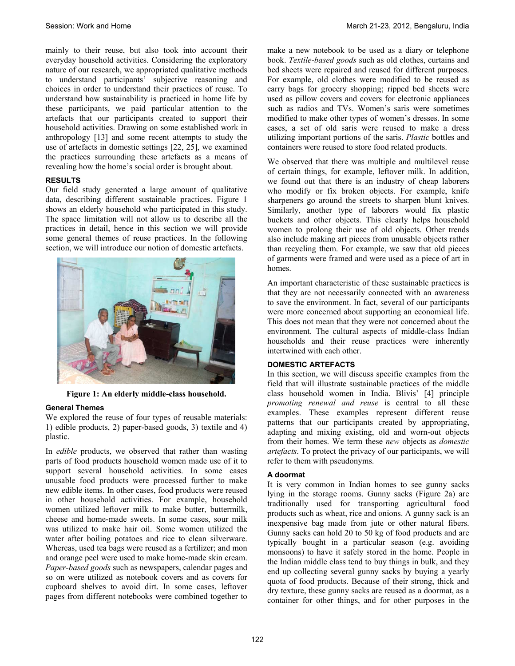mainly to their reuse, but also took into account their everyday household activities. Considering the exploratory nature of our research, we appropriated qualitative methods to understand participants' subjective reasoning and choices in order to understand their practices of reuse. To understand how sustainability is practiced in home life by these participants, we paid particular attention to the artefacts that our participants created to support their household activities. Drawing on some established work in anthropology [13] and some recent attempts to study the use of artefacts in domestic settings [22, 25], we examined the practices surrounding these artefacts as a means of revealing how the home's social order is brought about.

#### **RESULTS**

Our field study generated a large amount of qualitative data, describing different sustainable practices. Figure 1 shows an elderly household who participated in this study. The space limitation will not allow us to describe all the practices in detail, hence in this section we will provide some general themes of reuse practices. In the following section, we will introduce our notion of domestic artefacts.



**Figure 1: An elderly middle-class household.** 

#### **General Themes**

We explored the reuse of four types of reusable materials: 1) edible products, 2) paper-based goods, 3) textile and 4) plastic.

In *edible* products, we observed that rather than wasting parts of food products household women made use of it to support several household activities. In some cases unusable food products were processed further to make new edible items. In other cases, food products were reused in other household activities. For example, household women utilized leftover milk to make butter, buttermilk, cheese and home-made sweets. In some cases, sour milk was utilized to make hair oil. Some women utilized the water after boiling potatoes and rice to clean silverware. Whereas, used tea bags were reused as a fertilizer; and mon and orange peel were used to make home-made skin cream. *Paper-based goods* such as newspapers, calendar pages and so on were utilized as notebook covers and as covers for cupboard shelves to avoid dirt. In some cases, leftover pages from different notebooks were combined together to make a new notebook to be used as a diary or telephone book. *Textile-based goods* such as old clothes, curtains and bed sheets were repaired and reused for different purposes. For example, old clothes were modified to be reused as carry bags for grocery shopping; ripped bed sheets were used as pillow covers and covers for electronic appliances such as radios and TVs. Women's saris were sometimes modified to make other types of women's dresses. In some cases, a set of old saris were reused to make a dress utilizing important portions of the saris. *Plastic* bottles and containers were reused to store food related products.

We observed that there was multiple and multilevel reuse of certain things, for example, leftover milk. In addition, we found out that there is an industry of cheap laborers who modify or fix broken objects. For example, knife sharpeners go around the streets to sharpen blunt knives. Similarly, another type of laborers would fix plastic buckets and other objects. This clearly helps household women to prolong their use of old objects. Other trends also include making art pieces from unusable objects rather than recycling them. For example, we saw that old pieces of garments were framed and were used as a piece of art in homes.

An important characteristic of these sustainable practices is that they are not necessarily connected with an awareness to save the environment. In fact, several of our participants were more concerned about supporting an economical life. This does not mean that they were not concerned about the environment. The cultural aspects of middle-class Indian households and their reuse practices were inherently intertwined with each other.

# **DOMESTIC ARTEFACTS**

In this section, we will discuss specific examples from the field that will illustrate sustainable practices of the middle class household women in India. Blivis' [4] principle *promoting renewal and reuse* is central to all these examples. These examples represent different reuse patterns that our participants created by appropriating, adapting and mixing existing, old and worn-out objects from their homes. We term these *new* objects as *domestic artefacts*. To protect the privacy of our participants, we will refer to them with pseudonyms.

#### **A doormat**

It is very common in Indian homes to see gunny sacks lying in the storage rooms. Gunny sacks (Figure 2a) are traditionally used for transporting agricultural food products such as wheat, rice and onions. A gunny sack is an inexpensive bag made from jute or other natural fibers. Gunny sacks can hold 20 to 50 kg of food products and are typically bought in a particular season (e.g. avoiding monsoons) to have it safely stored in the home. People in the Indian middle class tend to buy things in bulk, and they end up collecting several gunny sacks by buying a yearly quota of food products. Because of their strong, thick and dry texture, these gunny sacks are reused as a doormat, as a container for other things, and for other purposes in the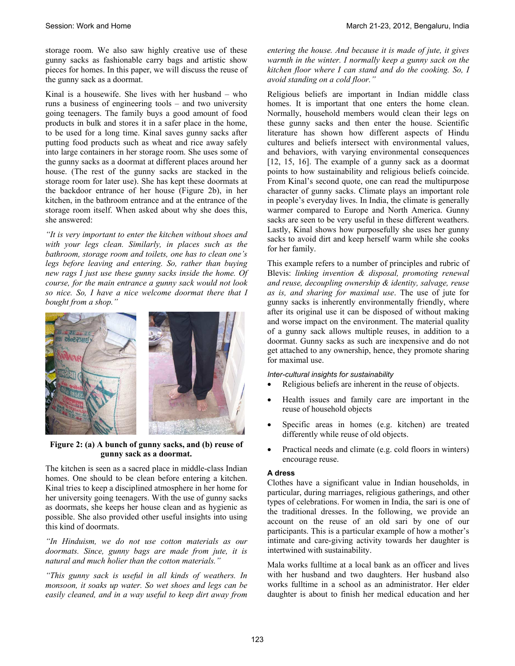storage room. We also saw highly creative use of these gunny sacks as fashionable carry bags and artistic show pieces for homes. In this paper, we will discuss the reuse of the gunny sack as a doormat.

Kinal is a housewife. She lives with her husband – who runs a business of engineering tools – and two university going teenagers. The family buys a good amount of food products in bulk and stores it in a safer place in the home, to be used for a long time. Kinal saves gunny sacks after putting food products such as wheat and rice away safely into large containers in her storage room. She uses some of the gunny sacks as a doormat at different places around her house. (The rest of the gunny sacks are stacked in the storage room for later use). She has kept these doormats at the backdoor entrance of her house (Figure 2b), in her kitchen, in the bathroom entrance and at the entrance of the storage room itself. When asked about why she does this, she answered:

*"It is very important to enter the kitchen without shoes and with your legs clean. Similarly, in places such as the bathroom, storage room and toilets, one has to clean one's legs before leaving and entering. So, rather than buying new rags I just use these gunny sacks inside the home. Of course, for the main entrance a gunny sack would not look so nice. So, I have a nice welcome doormat there that I bought from a shop."* 



# **Figure 2: (a) A bunch of gunny sacks, and (b) reuse of gunny sack as a doormat.**

The kitchen is seen as a sacred place in middle-class Indian homes. One should to be clean before entering a kitchen. Kinal tries to keep a disciplined atmosphere in her home for her university going teenagers. With the use of gunny sacks as doormats, she keeps her house clean and as hygienic as possible. She also provided other useful insights into using this kind of doormats.

*"In Hinduism, we do not use cotton materials as our doormats. Since, gunny bags are made from jute, it is natural and much holier than the cotton materials."* 

*"This gunny sack is useful in all kinds of weathers. In monsoon, it soaks up water. So wet shoes and legs can be easily cleaned, and in a way useful to keep dirt away from* 

*entering the house. And because it is made of jute, it gives warmth in the winter. I normally keep a gunny sack on the kitchen floor where I can stand and do the cooking. So, I avoid standing on a cold floor."* 

Religious beliefs are important in Indian middle class homes. It is important that one enters the home clean. Normally, household members would clean their legs on these gunny sacks and then enter the house. Scientific literature has shown how different aspects of Hindu cultures and beliefs intersect with environmental values, and behaviors, with varying environmental consequences [12, 15, 16]. The example of a gunny sack as a doormat points to how sustainability and religious beliefs coincide. From Kinal's second quote, one can read the multipurpose character of gunny sacks. Climate plays an important role in people's everyday lives. In India, the climate is generally warmer compared to Europe and North America. Gunny sacks are seen to be very useful in these different weathers. Lastly, Kinal shows how purposefully she uses her gunny sacks to avoid dirt and keep herself warm while she cooks for her family.

This example refers to a number of principles and rubric of Blevis: *linking invention & disposal, promoting renewal and reuse, decoupling ownership & identity, salvage, reuse as is, and sharing for maximal use*. The use of jute for gunny sacks is inherently environmentally friendly, where after its original use it can be disposed of without making and worse impact on the environment. The material quality of a gunny sack allows multiple reuses, in addition to a doormat. Gunny sacks as such are inexpensive and do not get attached to any ownership, hence, they promote sharing for maximal use.

*Inter-cultural insights for sustainability* 

- Religious beliefs are inherent in the reuse of objects.
- Health issues and family care are important in the reuse of household objects
- Specific areas in homes (e.g. kitchen) are treated differently while reuse of old objects.
- Practical needs and climate (e.g. cold floors in winters) encourage reuse.

# **A dress**

Clothes have a significant value in Indian households, in particular, during marriages, religious gatherings, and other types of celebrations. For women in India, the sari is one of the traditional dresses. In the following, we provide an account on the reuse of an old sari by one of our participants. This is a particular example of how a mother's intimate and care-giving activity towards her daughter is intertwined with sustainability.

Mala works fulltime at a local bank as an officer and lives with her husband and two daughters. Her husband also works fulltime in a school as an administrator. Her elder daughter is about to finish her medical education and her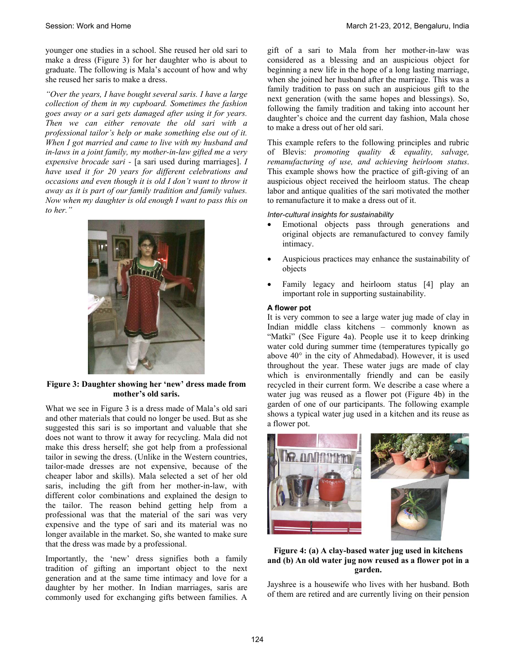younger one studies in a school. She reused her old sari to make a dress (Figure 3) for her daughter who is about to graduate. The following is Mala's account of how and why she reused her saris to make a dress.

*"Over the years, I have bought several saris. I have a large collection of them in my cupboard. Sometimes the fashion goes away or a sari gets damaged after using it for years. Then we can either renovate the old sari with a professional tailor's help or make something else out of it. When I got married and came to live with my husband and in-laws in a joint family, my mother-in-law gifted me a very expensive brocade sari -* [a sari used during marriages]. *I have used it for 20 years for different celebrations and occasions and even though it is old I don't want to throw it away as it is part of our family tradition and family values. Now when my daughter is old enough I want to pass this on to her."* 



# **Figure 3: Daughter showing her 'new' dress made from mother's old saris.**

What we see in Figure 3 is a dress made of Mala's old sari and other materials that could no longer be used. But as she suggested this sari is so important and valuable that she does not want to throw it away for recycling. Mala did not make this dress herself; she got help from a professional tailor in sewing the dress. (Unlike in the Western countries, tailor-made dresses are not expensive, because of the cheaper labor and skills). Mala selected a set of her old saris, including the gift from her mother-in-law, with different color combinations and explained the design to the tailor. The reason behind getting help from a professional was that the material of the sari was very expensive and the type of sari and its material was no longer available in the market. So, she wanted to make sure that the dress was made by a professional.

Importantly, the 'new' dress signifies both a family tradition of gifting an important object to the next generation and at the same time intimacy and love for a daughter by her mother. In Indian marriages, saris are commonly used for exchanging gifts between families. A

gift of a sari to Mala from her mother-in-law was considered as a blessing and an auspicious object for beginning a new life in the hope of a long lasting marriage, when she joined her husband after the marriage. This was a family tradition to pass on such an auspicious gift to the next generation (with the same hopes and blessings). So, following the family tradition and taking into account her daughter's choice and the current day fashion, Mala chose to make a dress out of her old sari.

This example refers to the following principles and rubric of Blevis: *promoting quality & equality, salvage, remanufacturing of use, and achieving heirloom status*. This example shows how the practice of gift-giving of an auspicious object received the heirloom status. The cheap labor and antique qualities of the sari motivated the mother to remanufacture it to make a dress out of it.

#### *Inter-cultural insights for sustainability*

- Emotional objects pass through generations and original objects are remanufactured to convey family intimacy.
- Auspicious practices may enhance the sustainability of objects
- Family legacy and heirloom status [4] play an important role in supporting sustainability.

# **A flower pot**

It is very common to see a large water jug made of clay in Indian middle class kitchens – commonly known as "Matki" (See Figure 4a). People use it to keep drinking water cold during summer time (temperatures typically go above 40° in the city of Ahmedabad). However, it is used throughout the year. These water jugs are made of clay which is environmentally friendly and can be easily recycled in their current form. We describe a case where a water jug was reused as a flower pot (Figure 4b) in the garden of one of our participants. The following example shows a typical water jug used in a kitchen and its reuse as a flower pot.



# **Figure 4: (a) A clay-based water jug used in kitchens and (b) An old water jug now reused as a flower pot in a garden.**

Jayshree is a housewife who lives with her husband. Both of them are retired and are currently living on their pension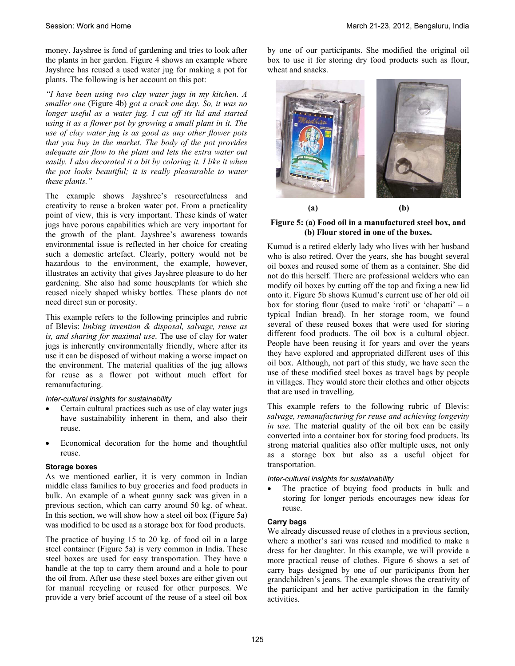money. Jayshree is fond of gardening and tries to look after the plants in her garden. Figure 4 shows an example where Jayshree has reused a used water jug for making a pot for plants. The following is her account on this pot:

*"I have been using two clay water jugs in my kitchen. A smaller one* (Figure 4b) *got a crack one day. So, it was no longer useful as a water jug. I cut off its lid and started using it as a flower pot by growing a small plant in it. The use of clay water jug is as good as any other flower pots that you buy in the market. The body of the pot provides adequate air flow to the plant and lets the extra water out easily. I also decorated it a bit by coloring it. I like it when the pot looks beautiful; it is really pleasurable to water these plants."* 

The example shows Jayshree's resourcefulness and creativity to reuse a broken water pot. From a practicality point of view, this is very important. These kinds of water jugs have porous capabilities which are very important for the growth of the plant. Jayshree's awareness towards environmental issue is reflected in her choice for creating such a domestic artefact. Clearly, pottery would not be hazardous to the environment, the example, however, illustrates an activity that gives Jayshree pleasure to do her gardening. She also had some houseplants for which she reused nicely shaped whisky bottles. These plants do not need direct sun or porosity.

This example refers to the following principles and rubric of Blevis: *linking invention & disposal, salvage, reuse as is, and sharing for maximal use*. The use of clay for water jugs is inherently environmentally friendly, where after its use it can be disposed of without making a worse impact on the environment. The material qualities of the jug allows for reuse as a flower pot without much effort for remanufacturing.

#### *Inter-cultural insights for sustainability*

- Certain cultural practices such as use of clay water jugs have sustainability inherent in them, and also their reuse.
- Economical decoration for the home and thoughtful reuse.

#### **Storage boxes**

As we mentioned earlier, it is very common in Indian middle class families to buy groceries and food products in bulk. An example of a wheat gunny sack was given in a previous section, which can carry around 50 kg. of wheat. In this section, we will show how a steel oil box (Figure 5a) was modified to be used as a storage box for food products.

The practice of buying 15 to 20 kg. of food oil in a large steel container (Figure 5a) is very common in India. These steel boxes are used for easy transportation. They have a handle at the top to carry them around and a hole to pour the oil from. After use these steel boxes are either given out for manual recycling or reused for other purposes. We provide a very brief account of the reuse of a steel oil box

by one of our participants. She modified the original oil box to use it for storing dry food products such as flour, wheat and snacks.



**Figure 5: (a) Food oil in a manufactured steel box, and (b) Flour stored in one of the boxes.** 

Kumud is a retired elderly lady who lives with her husband who is also retired. Over the years, she has bought several oil boxes and reused some of them as a container. She did not do this herself. There are professional welders who can modify oil boxes by cutting off the top and fixing a new lid onto it. Figure 5b shows Kumud's current use of her old oil box for storing flour (used to make 'roti' or 'chapatti' – a typical Indian bread). In her storage room, we found several of these reused boxes that were used for storing different food products. The oil box is a cultural object. People have been reusing it for years and over the years they have explored and appropriated different uses of this oil box. Although, not part of this study, we have seen the use of these modified steel boxes as travel bags by people in villages. They would store their clothes and other objects that are used in travelling.

This example refers to the following rubric of Blevis: *salvage, remanufacturing for reuse and achieving longevity in use*. The material quality of the oil box can be easily converted into a container box for storing food products. Its strong material qualities also offer multiple uses, not only as a storage box but also as a useful object for transportation.

*Inter-cultural insights for sustainability* 

 The practice of buying food products in bulk and storing for longer periods encourages new ideas for reuse.

# **Carry bags**

We already discussed reuse of clothes in a previous section, where a mother's sari was reused and modified to make a dress for her daughter. In this example, we will provide a more practical reuse of clothes. Figure 6 shows a set of carry bags designed by one of our participants from her grandchildren's jeans. The example shows the creativity of the participant and her active participation in the family activities.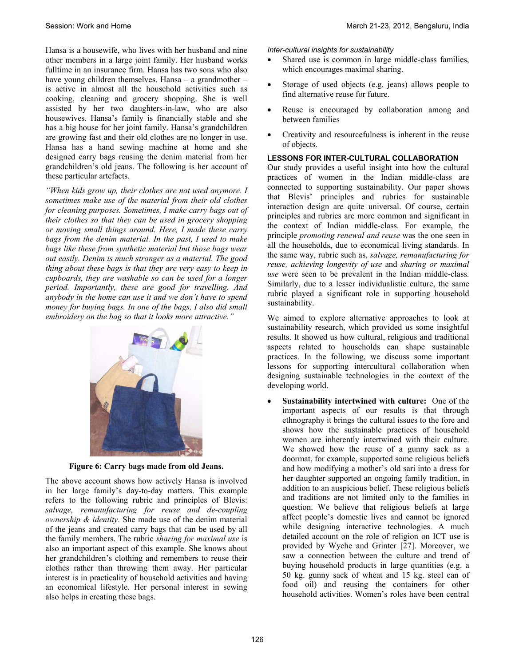Hansa is a housewife, who lives with her husband and nine other members in a large joint family. Her husband works fulltime in an insurance firm. Hansa has two sons who also have young children themselves. Hansa – a grandmother – is active in almost all the household activities such as cooking, cleaning and grocery shopping. She is well assisted by her two daughters-in-law, who are also housewives. Hansa's family is financially stable and she has a big house for her joint family. Hansa's grandchildren are growing fast and their old clothes are no longer in use. Hansa has a hand sewing machine at home and she designed carry bags reusing the denim material from her grandchildren's old jeans. The following is her account of these particular artefacts.

*"When kids grow up, their clothes are not used anymore. I sometimes make use of the material from their old clothes for cleaning purposes. Sometimes, I make carry bags out of their clothes so that they can be used in grocery shopping or moving small things around. Here, I made these carry bags from the denim material. In the past, I used to make bags like these from synthetic material but those bags wear out easily. Denim is much stronger as a material. The good thing about these bags is that they are very easy to keep in cupboards, they are washable so can be used for a longer period. Importantly, these are good for travelling. And anybody in the home can use it and we don't have to spend money for buying bags. In one of the bags, I also did small embroidery on the bag so that it looks more attractive."* 



**Figure 6: Carry bags made from old Jeans.** 

The above account shows how actively Hansa is involved in her large family's day-to-day matters. This example refers to the following rubric and principles of Blevis: *salvage, remanufacturing for reuse and de-coupling ownership & identity*. She made use of the denim material of the jeans and created carry bags that can be used by all the family members. The rubric *sharing for maximal use* is also an important aspect of this example. She knows about her grandchildren's clothing and remembers to reuse their clothes rather than throwing them away. Her particular interest is in practicality of household activities and having an economical lifestyle. Her personal interest in sewing also helps in creating these bags.

*Inter-cultural insights for sustainability* 

- Shared use is common in large middle-class families, which encourages maximal sharing.
- Storage of used objects (e.g. jeans) allows people to find alternative reuse for future.
- Reuse is encouraged by collaboration among and between families
- Creativity and resourcefulness is inherent in the reuse of objects.

### **LESSONS FOR INTER-CULTURAL COLLABORATION**

Our study provides a useful insight into how the cultural practices of women in the Indian middle-class are connected to supporting sustainability. Our paper shows that Blevis' principles and rubrics for sustainable interaction design are quite universal. Of course, certain principles and rubrics are more common and significant in the context of Indian middle-class. For example, the principle *promoting renewal and reuse* was the one seen in all the households, due to economical living standards. In the same way, rubric such as, *salvage, remanufacturing for reuse, achieving longevity of use* and *sharing or maximal use* were seen to be prevalent in the Indian middle-class. Similarly, due to a lesser individualistic culture, the same rubric played a significant role in supporting household sustainability.

We aimed to explore alternative approaches to look at sustainability research, which provided us some insightful results. It showed us how cultural, religious and traditional aspects related to households can shape sustainable practices. In the following, we discuss some important lessons for supporting intercultural collaboration when designing sustainable technologies in the context of the developing world.

 **Sustainability intertwined with culture:** One of the important aspects of our results is that through ethnography it brings the cultural issues to the fore and shows how the sustainable practices of household women are inherently intertwined with their culture. We showed how the reuse of a gunny sack as a doormat, for example, supported some religious beliefs and how modifying a mother's old sari into a dress for her daughter supported an ongoing family tradition, in addition to an auspicious belief. These religious beliefs and traditions are not limited only to the families in question. We believe that religious beliefs at large affect people's domestic lives and cannot be ignored while designing interactive technologies. A much detailed account on the role of religion on ICT use is provided by Wyche and Grinter [27]. Moreover, we saw a connection between the culture and trend of buying household products in large quantities (e.g. a 50 kg. gunny sack of wheat and 15 kg. steel can of food oil) and reusing the containers for other household activities. Women's roles have been central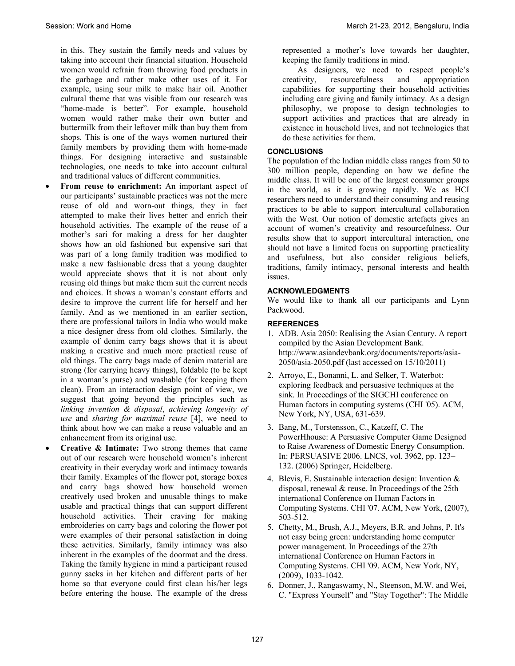in this. They sustain the family needs and values by taking into account their financial situation. Household women would refrain from throwing food products in the garbage and rather make other uses of it. For example, using sour milk to make hair oil. Another cultural theme that was visible from our research was "home-made is better". For example, household women would rather make their own butter and buttermilk from their leftover milk than buy them from shops. This is one of the ways women nurtured their family members by providing them with home-made things. For designing interactive and sustainable technologies, one needs to take into account cultural and traditional values of different communities.

- **From reuse to enrichment:** An important aspect of our participants' sustainable practices was not the mere reuse of old and worn-out things, they in fact attempted to make their lives better and enrich their household activities. The example of the reuse of a mother's sari for making a dress for her daughter shows how an old fashioned but expensive sari that was part of a long family tradition was modified to make a new fashionable dress that a young daughter would appreciate shows that it is not about only reusing old things but make them suit the current needs and choices. It shows a woman's constant efforts and desire to improve the current life for herself and her family. And as we mentioned in an earlier section, there are professional tailors in India who would make a nice designer dress from old clothes. Similarly, the example of denim carry bags shows that it is about making a creative and much more practical reuse of old things. The carry bags made of denim material are strong (for carrying heavy things), foldable (to be kept in a woman's purse) and washable (for keeping them clean). From an interaction design point of view, we suggest that going beyond the principles such as *linking invention & disposal*, *achieving longevity of use* and *sharing for maximal reuse* [4], we need to think about how we can make a reuse valuable and an enhancement from its original use.
- **Creative & Intimate:** Two strong themes that came out of our research were household women's inherent creativity in their everyday work and intimacy towards their family. Examples of the flower pot, storage boxes and carry bags showed how household women creatively used broken and unusable things to make usable and practical things that can support different household activities. Their craving for making embroideries on carry bags and coloring the flower pot were examples of their personal satisfaction in doing these activities. Similarly, family intimacy was also inherent in the examples of the doormat and the dress. Taking the family hygiene in mind a participant reused gunny sacks in her kitchen and different parts of her home so that everyone could first clean his/her legs before entering the house. The example of the dress

represented a mother's love towards her daughter, keeping the family traditions in mind.

As designers, we need to respect people's creativity, resourcefulness and appropriation capabilities for supporting their household activities including care giving and family intimacy. As a design philosophy, we propose to design technologies to support activities and practices that are already in existence in household lives, and not technologies that do these activities for them.

# **CONCLUSIONS**

The population of the Indian middle class ranges from 50 to 300 million people, depending on how we define the middle class. It will be one of the largest consumer groups in the world, as it is growing rapidly. We as HCI researchers need to understand their consuming and reusing practices to be able to support intercultural collaboration with the West. Our notion of domestic artefacts gives an account of women's creativity and resourcefulness. Our results show that to support intercultural interaction, one should not have a limited focus on supporting practicality and usefulness, but also consider religious beliefs, traditions, family intimacy, personal interests and health issues.

#### **ACKNOWLEDGMENTS**

We would like to thank all our participants and Lynn Packwood.

# **REFERENCES**

- 1. ADB. Asia 2050: Realising the Asian Century. A report compiled by the Asian Development Bank. http://www.asiandevbank.org/documents/reports/asia-2050/asia-2050.pdf (last accessed on 15/10/2011)
- 2. Arroyo, E., Bonanni, L. and Selker, T. Waterbot: exploring feedback and persuasive techniques at the sink. In Proceedings of the SIGCHI conference on Human factors in computing systems (CHI '05). ACM, New York, NY, USA, 631-639.
- 3. Bang, M., Torstensson, C., Katzeff, C. The PowerHhouse: A Persuasive Computer Game Designed to Raise Awareness of Domestic Energy Consumption. In: PERSUASIVE 2006. LNCS, vol. 3962, pp. 123– 132. (2006) Springer, Heidelberg.
- 4. Blevis, E. Sustainable interaction design: Invention & disposal, renewal & reuse. In Proceedings of the 25th international Conference on Human Factors in Computing Systems. CHI '07. ACM, New York, (2007), 503-512.
- 5. Chetty, M., Brush, A.J., Meyers, B.R. and Johns, P. It's not easy being green: understanding home computer power management. In Proceedings of the 27th international Conference on Human Factors in Computing Systems. CHI '09. ACM, New York, NY, (2009), 1033-1042.
- 6. Donner, J., Rangaswamy, N., Steenson, M.W. and Wei, C. "Express Yourself" and "Stay Together": The Middle